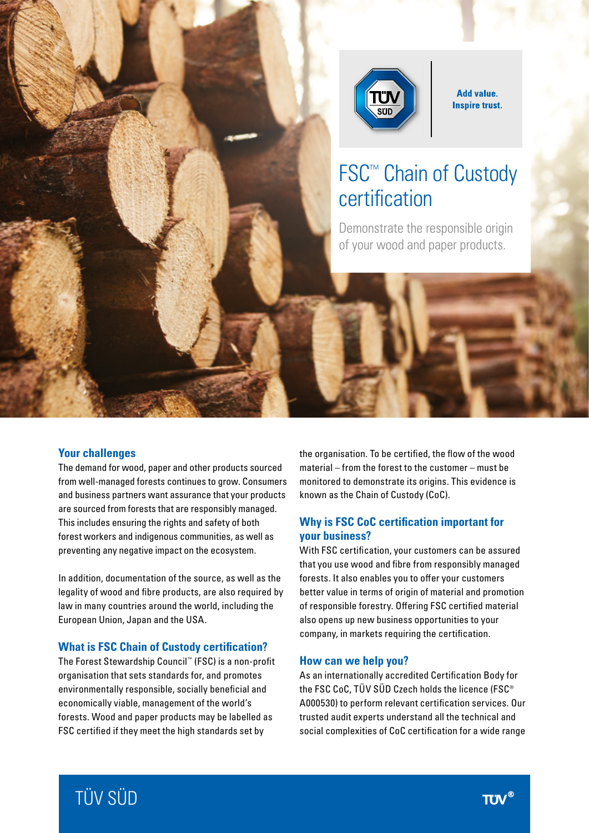

**Add value. Inspire trust.** 

# FSC™ Chain of Custody certification

Demonstrate the responsible origin of your wood and paper products.

#### **Your challenges**

The demand for wood, paper and other products sourced from well-managed forests continues to grow. Consumers and business partners want assurance that your products are sourced from forests that are responsibly managed. This includes ensuring the rights and safety of both forest workers and indigenous communities, as well as preventing any negative impact on the ecosystem.

In addition, documentation of the source, as well as the legality of wood and fibre products, are also required by law in many countries around the world, including the European Union, Japan and the USA.

#### **What is FSC Chain of Custody certification?**

The Forest Stewardship Council™ (FSC) is a non-profit organisation that sets standards for, and promotes environmentally responsible, socially beneficial and economically viable, management of the world's forests. Wood and paper products may be labelled as FSC certified if they meet the high standards set by

the organisation. To be certified, the flow of the wood material – from the forest to the customer – must be monitored to demonstrate its origins. This evidence is known as the Chain of Custody (CoC).

# **Why is FSC CoC certification important for your business?**

With FSC certification, your customers can be assured that you use wood and fibre from responsibly managed forests. It also enables you to offer your customers better value in terms of origin of material and promotion of responsible forestry. Offering FSC certified material also opens up new business opportunities to your company, in markets requiring the certification.

#### **How can we help you?**

As an internationally accredited Certification Body for the FSC CoC, TÜV SÜD Czech holds the licence (FSC® A000530) to perform relevant certification services. Our trusted audit experts understand all the technical and social complexities of CoC certification for a wide range